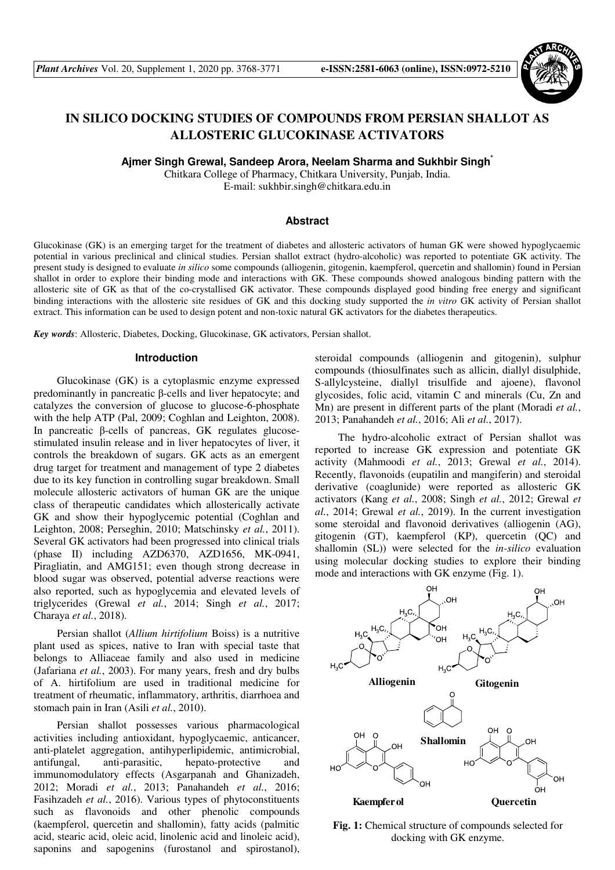

# **IN SILICO DOCKING STUDIES OF COMPOUNDS FROM PERSIAN SHALLOT AS ALLOSTERIC GLUCOKINASE ACTIVATORS**

**Ajmer Singh Grewal, Sandeep Arora, Neelam Sharma and Sukhbir Singh\***

Chitkara College of Pharmacy, Chitkara University, Punjab, India. E-mail: sukhbir.singh@chitkara.edu.in

## **Abstract**

Glucokinase (GK) is an emerging target for the treatment of diabetes and allosteric activators of human GK were showed hypoglycaemic potential in various preclinical and clinical studies. Persian shallot extract (hydro-alcoholic) was reported to potentiate GK activity. The present study is designed to evaluate *in silico* some compounds (alliogenin, gitogenin, kaempferol, quercetin and shallomin) found in Persian shallot in order to explore their binding mode and interactions with GK. These compounds showed analogous binding pattern with the allosteric site of GK as that of the co-crystallised GK activator. These compounds displayed good binding free energy and significant binding interactions with the allosteric site residues of GK and this docking study supported the *in vitro* GK activity of Persian shallot extract. This information can be used to design potent and non-toxic natural GK activators for the diabetes therapeutics.

*Key words*: Allosteric, Diabetes, Docking, Glucokinase, GK activators, Persian shallot.

#### **Introduction**

Glucokinase (GK) is a cytoplasmic enzyme expressed predominantly in pancreatic β-cells and liver hepatocyte; and catalyzes the conversion of glucose to glucose-6-phosphate with the help ATP (Pal, 2009; Coghlan and Leighton, 2008). In pancreatic β-cells of pancreas, GK regulates glucosestimulated insulin release and in liver hepatocytes of liver, it controls the breakdown of sugars. GK acts as an emergent drug target for treatment and management of type 2 diabetes due to its key function in controlling sugar breakdown. Small molecule allosteric activators of human GK are the unique class of therapeutic candidates which allosterically activate GK and show their hypoglycemic potential (Coghlan and Leighton, 2008; Perseghin, 2010; Matschinsky *et al.*, 2011). Several GK activators had been progressed into clinical trials (phase II) including AZD6370, AZD1656, MK-0941, Piragliatin, and AMG151; even though strong decrease in blood sugar was observed, potential adverse reactions were also reported, such as hypoglycemia and elevated levels of triglycerides (Grewal *et al.*, 2014; Singh *et al.*, 2017; Charaya *et al.*, 2018).

Persian shallot (*Allium hirtifolium* Boiss) is a nutritive plant used as spices, native to Iran with special taste that belongs to Alliaceae family and also used in medicine (Jafariana *et al.*, 2003). For many years, fresh and dry bulbs of A. hirtifolium are used in traditional medicine for treatment of rheumatic, inflammatory, arthritis, diarrhoea and stomach pain in Iran (Asili *et al.*, 2010).

Persian shallot possesses various pharmacological activities including antioxidant, hypoglycaemic, anticancer, anti-platelet aggregation, antihyperlipidemic, antimicrobial, antifungal, anti-parasitic, hepato-protective and immunomodulatory effects (Asgarpanah and Ghanizadeh, 2012; Moradi *et al.*, 2013; Panahandeh *et al.*, 2016; Fasihzadeh *et al.*, 2016). Various types of phytoconstituents such as flavonoids and other phenolic compounds (kaempferol, quercetin and shallomin), fatty acids (palmitic acid, stearic acid, oleic acid, linolenic acid and linoleic acid), saponins and sapogenins (furostanol and spirostanol), steroidal compounds (alliogenin and gitogenin), sulphur compounds (thiosulfinates such as allicin, diallyl disulphide, S-allylcysteine, diallyl trisulfide and ajoene), flavonol glycosides, folic acid, vitamin C and minerals (Cu, Zn and Mn) are present in different parts of the plant (Moradi *et al.*, 2013; Panahandeh *et al.*, 2016; Ali *et al.*, 2017).

The hydro-alcoholic extract of Persian shallot was reported to increase GK expression and potentiate GK activity (Mahmoodi *et al.*, 2013; Grewal *et al.*, 2014). Recently, flavonoids (eupatilin and mangiferin) and steroidal derivative (coaglunide) were reported as allosteric GK activators (Kang *et al.*, 2008; Singh *et al.*, 2012; Grewal *et al.*, 2014; Grewal *et al.*, 2019). In the current investigation some steroidal and flavonoid derivatives (alliogenin (AG), gitogenin (GT), kaempferol (KP), quercetin (QC) and shallomin (SL)) were selected for the *in-silico* evaluation using molecular docking studies to explore their binding mode and interactions with GK enzyme (Fig. 1).



**Fig. 1:** Chemical structure of compounds selected for docking with GK enzyme.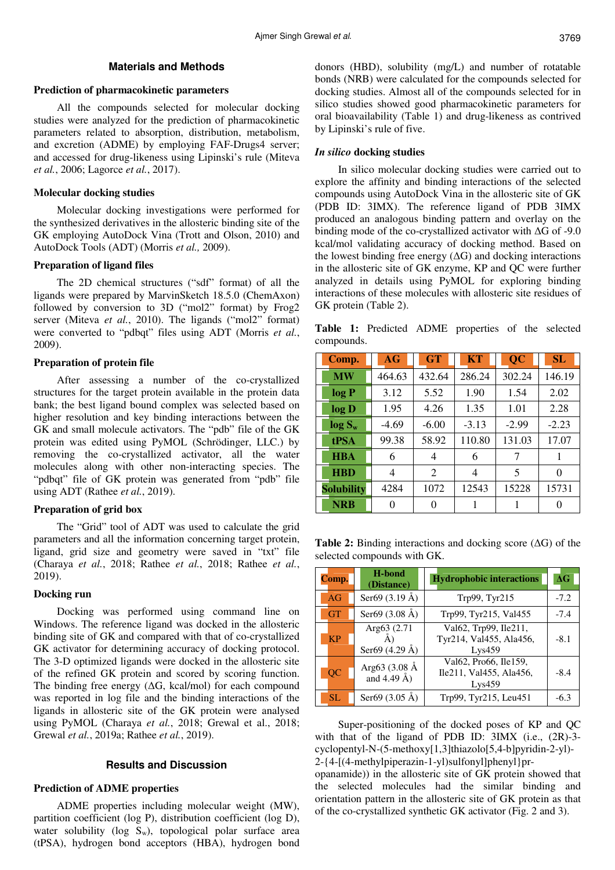# **Materials and Methods**

#### **Prediction of pharmacokinetic parameters**

All the compounds selected for molecular docking studies were analyzed for the prediction of pharmacokinetic parameters related to absorption, distribution, metabolism, and excretion (ADME) by employing FAF-Drugs4 server; and accessed for drug-likeness using Lipinski's rule (Miteva *et al.*, 2006; Lagorce *et al.*, 2017).

# **Molecular docking studies**

Molecular docking investigations were performed for the synthesized derivatives in the allosteric binding site of the GK employing AutoDock Vina (Trott and Olson, 2010) and AutoDock Tools (ADT) (Morris *et al.,* 2009).

#### **Preparation of ligand files**

The 2D chemical structures ("sdf" format) of all the ligands were prepared by MarvinSketch 18.5.0 (ChemAxon) followed by conversion to 3D ("mol2" format) by Frog2 server (Miteva *et al.*, 2010). The ligands ("mol2" format) were converted to "pdbqt" files using ADT (Morris *et al.*, 2009).

#### **Preparation of protein file**

After assessing a number of the co-crystallized structures for the target protein available in the protein data bank; the best ligand bound complex was selected based on higher resolution and key binding interactions between the GK and small molecule activators. The "pdb" file of the GK protein was edited using PyMOL (Schrödinger, LLC.) by removing the co-crystallized activator, all the water molecules along with other non-interacting species. The "pdbqt" file of GK protein was generated from "pdb" file using ADT (Rathee *et al.*, 2019).

#### **Preparation of grid box**

The "Grid" tool of ADT was used to calculate the grid parameters and all the information concerning target protein, ligand, grid size and geometry were saved in "txt" file (Charaya *et al.*, 2018; Rathee *et al.*, 2018; Rathee *et al.*, 2019).

## **Docking run**

Docking was performed using command line on Windows. The reference ligand was docked in the allosteric binding site of GK and compared with that of co-crystallized GK activator for determining accuracy of docking protocol. The 3-D optimized ligands were docked in the allosteric site of the refined GK protein and scored by scoring function. The binding free energy ( $\Delta G$ , kcal/mol) for each compound was reported in log file and the binding interactions of the ligands in allosteric site of the GK protein were analysed using PyMOL (Charaya *et al.*, 2018; Grewal et al., 2018; Grewal *et al.*, 2019a; Rathee *et al.*, 2019).

# **Results and Discussion**

## **Prediction of ADME properties**

ADME properties including molecular weight (MW), partition coefficient (log P), distribution coefficient (log D), water solubility (log  $S_w$ ), topological polar surface area (tPSA), hydrogen bond acceptors (HBA), hydrogen bond donors (HBD), solubility (mg/L) and number of rotatable bonds (NRB) were calculated for the compounds selected for docking studies. Almost all of the compounds selected for in silico studies showed good pharmacokinetic parameters for oral bioavailability (Table 1) and drug-likeness as contrived by Lipinski's rule of five.

#### *In silico* **docking studies**

In silico molecular docking studies were carried out to explore the affinity and binding interactions of the selected compounds using AutoDock Vina in the allosteric site of GK (PDB ID: 3IMX). The reference ligand of PDB 3IMX produced an analogous binding pattern and overlay on the binding mode of the co-crystallized activator with ∆G of -9.0 kcal/mol validating accuracy of docking method. Based on the lowest binding free energy (∆G) and docking interactions in the allosteric site of GK enzyme, KP and QC were further analyzed in details using PyMOL for exploring binding interactions of these molecules with allosteric site residues of GK protein (Table 2).

**Table 1:** Predicted ADME properties of the selected compounds.

| Comp.             | AG       | <b>GT</b> | <b>KT</b> | <b>QC</b> | SL       |
|-------------------|----------|-----------|-----------|-----------|----------|
| <b>MW</b>         | 464.63   | 432.64    | 286.24    | 302.24    | 146.19   |
| log P             | 3.12     | 5.52      | 1.90      | 1.54      | 2.02     |
| log D             | 1.95     | 4.26      | 1.35      | 1.01      | 2.28     |
| $log S_w$         | $-4.69$  | $-6.00$   | $-3.13$   | $-2.99$   | $-2.23$  |
| tPSA              | 99.38    | 58.92     | 110.80    | 131.03    | 17.07    |
| <b>HBA</b>        | 6        | 4         | 6         | 7         |          |
| <b>HBD</b>        | 4        | 2         | 4         | 5         | $\Omega$ |
| <b>Solubility</b> | 4284     | 1072      | 12543     | 15228     | 15731    |
| <b>NRB</b>        | $\Omega$ | 0         |           |           |          |

**Table 2:** Binding interactions and docking score (∆G) of the selected compounds with GK.

| Comp.     | H-bond<br>(Distance)                    | <b>Hydrophobic interactions</b>                            | $\Delta G$ |
|-----------|-----------------------------------------|------------------------------------------------------------|------------|
| AG        | Ser69 $(3.19 \text{ Å})$                | Trp99, Tyr215                                              | $-7.2$     |
| <b>GT</b> | Ser69 $(3.08 \text{ Å})$                | Trp99, Tyr215, Val455                                      | $-7.4$     |
| <b>KP</b> | Arg63 (2.71<br>Ser69 $(4.29 \text{ Å})$ | Val62, Trp99, Ile211,<br>Tyr214, Val455, Ala456,<br>Lvs459 | $-8.1$     |
| QC        | Arg63 (3.08 Å<br>and $4.49 \text{ Å}$ ) | Val62, Pro66, Ile159,<br>Ile211, Val455, Ala456,<br>Lys459 | $-8.4$     |
| SL.       | Ser69 (3.05 Å)                          | Trp99, Tyr215, Leu451                                      | $-6.3$     |

Super-positioning of the docked poses of KP and QC with that of the ligand of PDB ID: 3IMX (i.e., (2R)-3 cyclopentyl-N-(5-methoxy[1,3]thiazolo[5,4-b]pyridin-2-yl)- 2-{4-[(4-methylpiperazin-1-yl)sulfonyl]phenyl}pr-

opanamide)) in the allosteric site of GK protein showed that the selected molecules had the similar binding and orientation pattern in the allosteric site of GK protein as that of the co-crystallized synthetic GK activator (Fig. 2 and 3).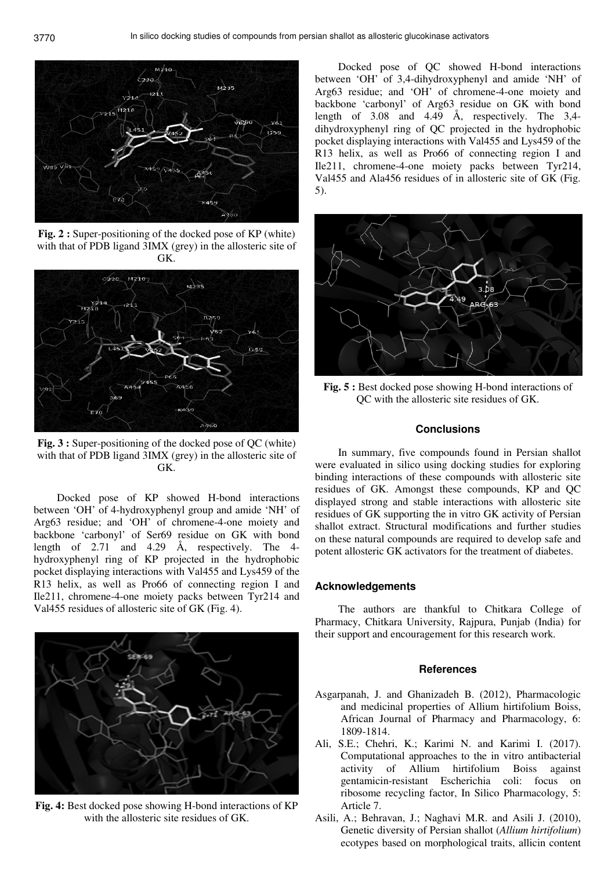

Fig. 2 : Super-positioning of the docked pose of KP (white) with that of PDB ligand 3IMX (grey) in the allosteric site of GK.



Fig. 3 : Super-positioning of the docked pose of QC (white) with that of PDB ligand 3IMX (grey) in the allosteric site of GK.

Docked pose of KP showed H-bond interactions between 'OH' of 4-hydroxyphenyl group and amide 'NH' of Arg63 residue; and 'OH' of chromene-4-one moiety and backbone 'carbonyl' of Ser69 residue on GK with bond length of 2.71 and 4.29 Å, respectively. The 4 hydroxyphenyl ring of KP projected in the hydrophobic pocket displaying interactions with Val455 and Lys459 of the R13 helix, as well as Pro66 of connecting region I and Ile211, chromene-4-one moiety packs between Tyr214 and Val455 residues of allosteric site of GK (Fig. 4).



**Fig. 4:** Best docked pose showing H-bond interactions of KP with the allosteric site residues of GK.

Docked pose of QC showed H-bond interactions between 'OH' of 3,4-dihydroxyphenyl and amide 'NH' of Arg63 residue; and 'OH' of chromene-4-one moiety and backbone 'carbonyl' of Arg63 residue on GK with bond length of 3.08 and 4.49 Å, respectively. The 3,4 dihydroxyphenyl ring of QC projected in the hydrophobic pocket displaying interactions with Val455 and Lys459 of the R13 helix, as well as Pro66 of connecting region I and Ile211, chromene-4-one moiety packs between Tyr214, Val455 and Ala456 residues of in allosteric site of GK (Fig. 5).



Fig. 5 : Best docked pose showing H-bond interactions of QC with the allosteric site residues of GK.

## **Conclusions**

In summary, five compounds found in Persian shallot were evaluated in silico using docking studies for exploring binding interactions of these compounds with allosteric site residues of GK. Amongst these compounds, KP and QC displayed strong and stable interactions with allosteric site residues of GK supporting the in vitro GK activity of Persian shallot extract. Structural modifications and further studies on these natural compounds are required to develop safe and potent allosteric GK activators for the treatment of diabetes.

# **Acknowledgements**

The authors are thankful to Chitkara College of Pharmacy, Chitkara University, Rajpura, Punjab (India) for their support and encouragement for this research work.

#### **References**

- Asgarpanah, J. and Ghanizadeh B. (2012), Pharmacologic and medicinal properties of Allium hirtifolium Boiss, African Journal of Pharmacy and Pharmacology, 6: 1809-1814.
- Ali, S.E.; Chehri, K.; Karimi N. and Karimi I. (2017). Computational approaches to the in vitro antibacterial activity of Allium hirtifolium Boiss against gentamicin-resistant Escherichia coli: focus on ribosome recycling factor, In Silico Pharmacology, 5: Article 7.
- Asili, A.; Behravan, J.; Naghavi M.R. and Asili J. (2010), Genetic diversity of Persian shallot (*Allium hirtifolium*) ecotypes based on morphological traits, allicin content